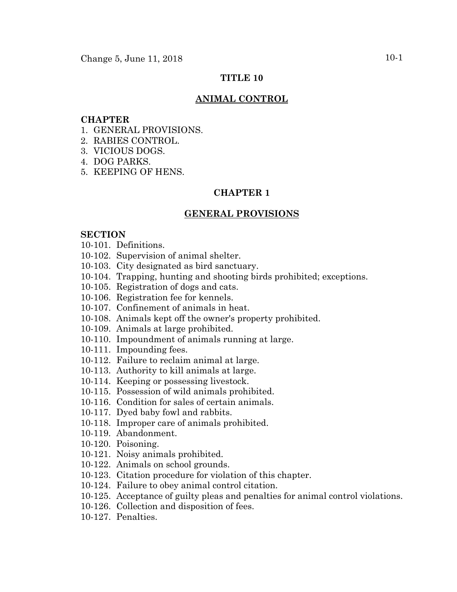# **TITLE 10**

### **ANIMAL CONTROL**

#### **CHAPTER**

- 1. GENERAL PROVISIONS.
- 2. RABIES CONTROL.
- 3. VICIOUS DOGS.
- 4. DOG PARKS.
- 5. KEEPING OF HENS.

# **CHAPTER 1**

#### **GENERAL PROVISIONS**

#### **SECTION**

- 10-101. Definitions.
- 10-102. Supervision of animal shelter.
- 10-103. City designated as bird sanctuary.
- 10-104. Trapping, hunting and shooting birds prohibited; exceptions.
- 10-105. Registration of dogs and cats.
- 10-106. Registration fee for kennels.
- 10-107. Confinement of animals in heat.
- 10-108. Animals kept off the owner's property prohibited.
- 10-109. Animals at large prohibited.
- 10-110. Impoundment of animals running at large.
- 10-111. Impounding fees.
- 10-112. Failure to reclaim animal at large.
- 10-113. Authority to kill animals at large.
- 10-114. Keeping or possessing livestock.
- 10-115. Possession of wild animals prohibited.
- 10-116. Condition for sales of certain animals.
- 10-117. Dyed baby fowl and rabbits.
- 10-118. Improper care of animals prohibited.
- 10-119. Abandonment.
- 10-120. Poisoning.
- 10-121. Noisy animals prohibited.
- 10-122. Animals on school grounds.
- 10-123. Citation procedure for violation of this chapter.
- 10-124. Failure to obey animal control citation.
- 10-125. Acceptance of guilty pleas and penalties for animal control violations.
- 10-126. Collection and disposition of fees.
- 10-127. Penalties.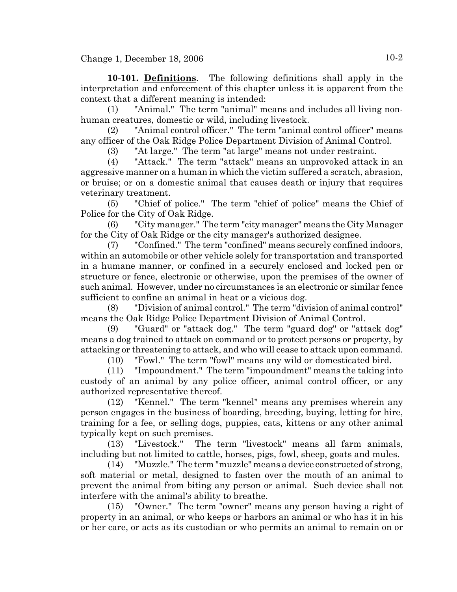**10-101. Definitions**. The following definitions shall apply in the interpretation and enforcement of this chapter unless it is apparent from the context that a different meaning is intended:

(1) "Animal." The term "animal" means and includes all living nonhuman creatures, domestic or wild, including livestock.

(2) "Animal control officer." The term "animal control officer" means any officer of the Oak Ridge Police Department Division of Animal Control.

(3) "At large." The term "at large" means not under restraint.

(4) "Attack." The term "attack" means an unprovoked attack in an aggressive manner on a human in which the victim suffered a scratch, abrasion, or bruise; or on a domestic animal that causes death or injury that requires veterinary treatment.

(5) "Chief of police." The term "chief of police" means the Chief of Police for the City of Oak Ridge.

"City manager." The term "city manager" means the City Manager for the City of Oak Ridge or the city manager's authorized designee.

(7) "Confined." The term "confined" means securely confined indoors, within an automobile or other vehicle solely for transportation and transported in a humane manner, or confined in a securely enclosed and locked pen or structure or fence, electronic or otherwise, upon the premises of the owner of such animal. However, under no circumstances is an electronic or similar fence sufficient to confine an animal in heat or a vicious dog.

(8) "Division of animal control." The term "division of animal control" means the Oak Ridge Police Department Division of Animal Control.

(9) "Guard" or "attack dog." The term "guard dog" or "attack dog" means a dog trained to attack on command or to protect persons or property, by attacking or threatening to attack, and who will cease to attack upon command.

(10) "Fowl." The term "fowl" means any wild or domesticated bird.

(11) "Impoundment." The term "impoundment" means the taking into custody of an animal by any police officer, animal control officer, or any authorized representative thereof.

(12) "Kennel." The term "kennel" means any premises wherein any person engages in the business of boarding, breeding, buying, letting for hire, training for a fee, or selling dogs, puppies, cats, kittens or any other animal typically kept on such premises.

(13) "Livestock." The term "livestock" means all farm animals, including but not limited to cattle, horses, pigs, fowl, sheep, goats and mules.

(14) "Muzzle." The term "muzzle" means a device constructed of strong, soft material or metal, designed to fasten over the mouth of an animal to prevent the animal from biting any person or animal. Such device shall not interfere with the animal's ability to breathe.

(15) "Owner." The term "owner" means any person having a right of property in an animal, or who keeps or harbors an animal or who has it in his or her care, or acts as its custodian or who permits an animal to remain on or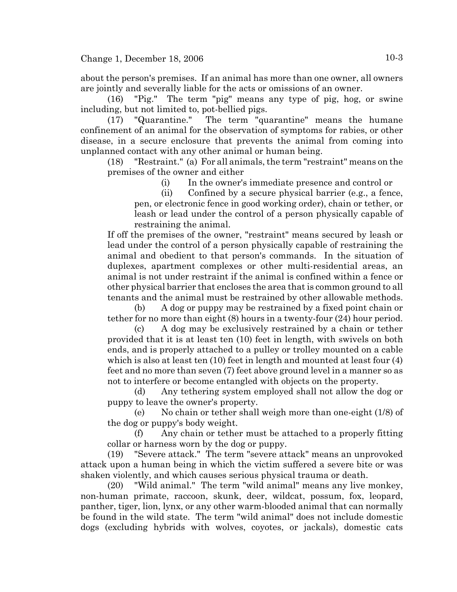about the person's premises. If an animal has more than one owner, all owners are jointly and severally liable for the acts or omissions of an owner.

(16) "Pig." The term "pig" means any type of pig, hog, or swine including, but not limited to, pot-bellied pigs.

(17) "Quarantine." The term "quarantine" means the humane confinement of an animal for the observation of symptoms for rabies, or other disease, in a secure enclosure that prevents the animal from coming into unplanned contact with any other animal or human being.

(18) "Restraint." (a) For all animals, the term "restraint" means on the premises of the owner and either

(i) In the owner's immediate presence and control or

(ii) Confined by a secure physical barrier (e.g., a fence,

pen, or electronic fence in good working order), chain or tether, or leash or lead under the control of a person physically capable of restraining the animal.

If off the premises of the owner, "restraint" means secured by leash or lead under the control of a person physically capable of restraining the animal and obedient to that person's commands. In the situation of duplexes, apartment complexes or other multi-residential areas, an animal is not under restraint if the animal is confined within a fence or other physical barrier that encloses the area that is common ground to all tenants and the animal must be restrained by other allowable methods.

(b) A dog or puppy may be restrained by a fixed point chain or tether for no more than eight (8) hours in a twenty-four (24) hour period.

(c) A dog may be exclusively restrained by a chain or tether provided that it is at least ten (10) feet in length, with swivels on both ends, and is properly attached to a pulley or trolley mounted on a cable which is also at least ten (10) feet in length and mounted at least four (4) feet and no more than seven (7) feet above ground level in a manner so as not to interfere or become entangled with objects on the property.

(d) Any tethering system employed shall not allow the dog or puppy to leave the owner's property.

(e) No chain or tether shall weigh more than one-eight (1/8) of the dog or puppy's body weight.

(f) Any chain or tether must be attached to a properly fitting collar or harness worn by the dog or puppy.

(19) "Severe attack." The term "severe attack" means an unprovoked attack upon a human being in which the victim suffered a severe bite or was shaken violently, and which causes serious physical trauma or death.

(20) "Wild animal." The term "wild animal" means any live monkey, non-human primate, raccoon, skunk, deer, wildcat, possum, fox, leopard, panther, tiger, lion, lynx, or any other warm-blooded animal that can normally be found in the wild state. The term "wild animal" does not include domestic dogs (excluding hybrids with wolves, coyotes, or jackals), domestic cats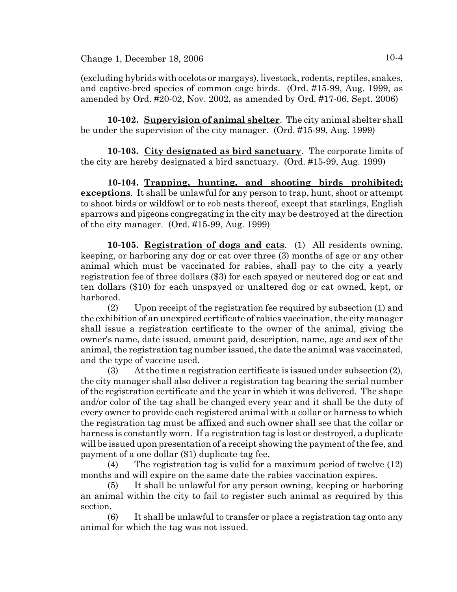(excluding hybrids with ocelots or margays), livestock, rodents, reptiles, snakes, and captive-bred species of common cage birds. (Ord. #15-99, Aug. 1999, as amended by Ord. #20-02, Nov. 2002, as amended by Ord. #17-06, Sept. 2006)

**10-102. Supervision of animal shelter**. The city animal shelter shall be under the supervision of the city manager. (Ord. #15-99, Aug. 1999)

**10-103. City designated as bird sanctuary**. The corporate limits of the city are hereby designated a bird sanctuary. (Ord. #15-99, Aug. 1999)

**10-104. Trapping, hunting, and shooting birds prohibited; exceptions**. It shall be unlawful for any person to trap, hunt, shoot or attempt to shoot birds or wildfowl or to rob nests thereof, except that starlings, English sparrows and pigeons congregating in the city may be destroyed at the direction of the city manager. (Ord. #15-99, Aug. 1999)

**10-105. Registration of dogs and cats**. (1) All residents owning, keeping, or harboring any dog or cat over three (3) months of age or any other animal which must be vaccinated for rabies, shall pay to the city a yearly registration fee of three dollars (\$3) for each spayed or neutered dog or cat and ten dollars (\$10) for each unspayed or unaltered dog or cat owned, kept, or harbored.

(2) Upon receipt of the registration fee required by subsection (1) and the exhibition of an unexpired certificate of rabies vaccination, the city manager shall issue a registration certificate to the owner of the animal, giving the owner's name, date issued, amount paid, description, name, age and sex of the animal, the registration tag number issued, the date the animal was vaccinated, and the type of vaccine used.

(3) At the time a registration certificate is issued under subsection  $(2)$ , the city manager shall also deliver a registration tag bearing the serial number of the registration certificate and the year in which it was delivered. The shape and/or color of the tag shall be changed every year and it shall be the duty of every owner to provide each registered animal with a collar or harness to which the registration tag must be affixed and such owner shall see that the collar or harness is constantly worn. If a registration tag is lost or destroyed, a duplicate will be issued upon presentation of a receipt showing the payment of the fee, and payment of a one dollar (\$1) duplicate tag fee.

(4) The registration tag is valid for a maximum period of twelve (12) months and will expire on the same date the rabies vaccination expires.

(5) It shall be unlawful for any person owning, keeping or harboring an animal within the city to fail to register such animal as required by this section.

(6) It shall be unlawful to transfer or place a registration tag onto any animal for which the tag was not issued.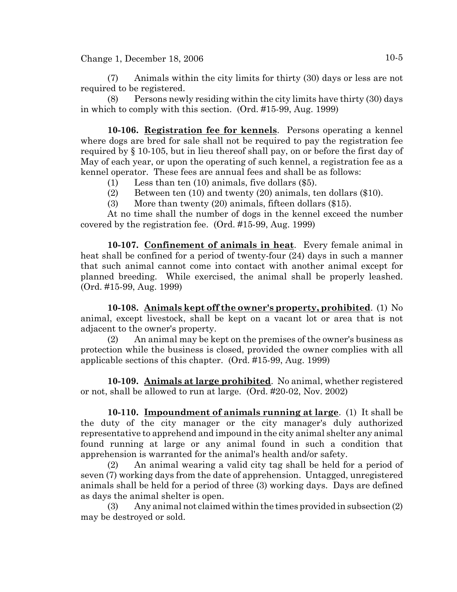(7) Animals within the city limits for thirty (30) days or less are not required to be registered.

(8) Persons newly residing within the city limits have thirty (30) days in which to comply with this section. (Ord. #15-99, Aug. 1999)

**10-106. Registration fee for kennels**. Persons operating a kennel where dogs are bred for sale shall not be required to pay the registration fee required by § 10-105, but in lieu thereof shall pay, on or before the first day of May of each year, or upon the operating of such kennel, a registration fee as a kennel operator. These fees are annual fees and shall be as follows:

- (1) Less than ten (10) animals, five dollars (\$5).
- (2) Between ten (10) and twenty (20) animals, ten dollars (\$10).
- (3) More than twenty (20) animals, fifteen dollars (\$15).

At no time shall the number of dogs in the kennel exceed the number covered by the registration fee. (Ord. #15-99, Aug. 1999)

**10-107. Confinement of animals in heat**. Every female animal in heat shall be confined for a period of twenty-four (24) days in such a manner that such animal cannot come into contact with another animal except for planned breeding. While exercised, the animal shall be properly leashed. (Ord. #15-99, Aug. 1999)

**10-108. Animals kept off the owner's property, prohibited**. (1) No animal, except livestock, shall be kept on a vacant lot or area that is not adjacent to the owner's property.

(2) An animal may be kept on the premises of the owner's business as protection while the business is closed, provided the owner complies with all applicable sections of this chapter. (Ord. #15-99, Aug. 1999)

**10-109. Animals at large prohibited**. No animal, whether registered or not, shall be allowed to run at large. (Ord. #20-02, Nov. 2002)

**10-110. Impoundment of animals running at large**. (1) It shall be the duty of the city manager or the city manager's duly authorized representative to apprehend and impound in the city animal shelter any animal found running at large or any animal found in such a condition that apprehension is warranted for the animal's health and/or safety.

(2) An animal wearing a valid city tag shall be held for a period of seven (7) working days from the date of apprehension. Untagged, unregistered animals shall be held for a period of three (3) working days. Days are defined as days the animal shelter is open.

(3) Any animal not claimed within the times provided in subsection (2) may be destroyed or sold.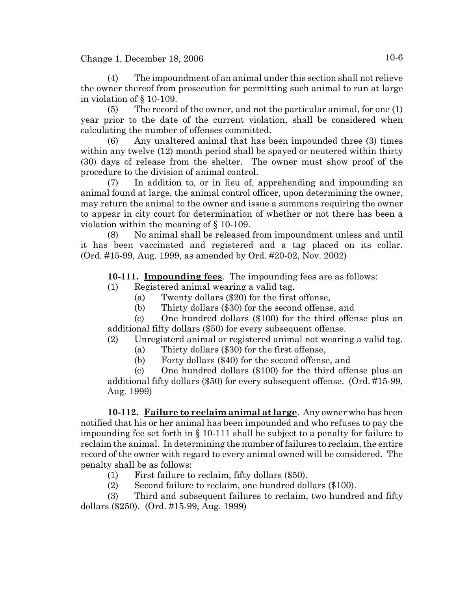(4) The impoundment of an animal under this section shall not relieve the owner thereof from prosecution for permitting such animal to run at large in violation of § 10-109.

(5) The record of the owner, and not the particular animal, for one (1) year prior to the date of the current violation, shall be considered when calculating the number of offenses committed.

(6) Any unaltered animal that has been impounded three (3) times within any twelve (12) month period shall be spayed or neutered within thirty (30) days of release from the shelter. The owner must show proof of the procedure to the division of animal control.

(7) In addition to, or in lieu of, apprehending and impounding an animal found at large, the animal control officer, upon determining the owner, may return the animal to the owner and issue a summons requiring the owner to appear in city court for determination of whether or not there has been a violation within the meaning of § 10-109.

(8) No animal shall be released from impoundment unless and until it has been vaccinated and registered and a tag placed on its collar. (Ord. #15-99, Aug. 1999, as amended by Ord. #20-02, Nov. 2002)

# **10-111. Impounding fees**. The impounding fees are as follows:

- (1) Registered animal wearing a valid tag.
	- (a) Twenty dollars (\$20) for the first offense,
	- (b) Thirty dollars (\$30) for the second offense, and

(c) One hundred dollars (\$100) for the third offense plus an additional fifty dollars (\$50) for every subsequent offense.

- (2) Unregisterd animal or registered animal not wearing a valid tag.
	- (a) Thirty dollars (\$30) for the first offense,
	- (b) Forty dollars (\$40) for the second offense, and

(c) One hundred dollars (\$100) for the third offense plus an additional fifty dollars (\$50) for every subsequent offense. (Ord. #15-99, Aug. 1999)

**10-112. Failure to reclaim animal at large**. Any owner who has been notified that his or her animal has been impounded and who refuses to pay the impounding fee set forth in § 10-111 shall be subject to a penalty for failure to reclaim the animal. In determining the number of failures to reclaim, the entire record of the owner with regard to every animal owned will be considered. The penalty shall be as follows:

- (1) First failure to reclaim, fifty dollars (\$50).
- (2) Second failure to reclaim, one hundred dollars (\$100).

(3) Third and subsequent failures to reclaim, two hundred and fifty dollars (\$250). (Ord. #15-99, Aug. 1999)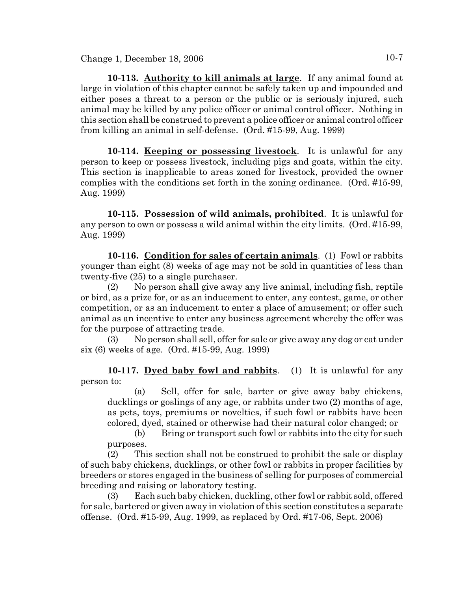**10-113. Authority to kill animals at large**. If any animal found at large in violation of this chapter cannot be safely taken up and impounded and either poses a threat to a person or the public or is seriously injured, such animal may be killed by any police officer or animal control officer. Nothing in this section shall be construed to prevent a police officer or animal control officer from killing an animal in self-defense. (Ord. #15-99, Aug. 1999)

**10-114. Keeping or possessing livestock**. It is unlawful for any person to keep or possess livestock, including pigs and goats, within the city. This section is inapplicable to areas zoned for livestock, provided the owner complies with the conditions set forth in the zoning ordinance. (Ord. #15-99, Aug. 1999)

**10-115. Possession of wild animals, prohibited**. It is unlawful for any person to own or possess a wild animal within the city limits. (Ord. #15-99, Aug. 1999)

**10-116. Condition for sales of certain animals**. (1) Fowl or rabbits younger than eight (8) weeks of age may not be sold in quantities of less than twenty-five (25) to a single purchaser.

(2) No person shall give away any live animal, including fish, reptile or bird, as a prize for, or as an inducement to enter, any contest, game, or other competition, or as an inducement to enter a place of amusement; or offer such animal as an incentive to enter any business agreement whereby the offer was for the purpose of attracting trade.

(3) No person shall sell, offer for sale or give away any dog or cat under six (6) weeks of age. (Ord. #15-99, Aug. 1999)

**10-117. Dyed baby fowl and rabbits**. (1) It is unlawful for any person to:

(a) Sell, offer for sale, barter or give away baby chickens, ducklings or goslings of any age, or rabbits under two (2) months of age, as pets, toys, premiums or novelties, if such fowl or rabbits have been colored, dyed, stained or otherwise had their natural color changed; or

(b) Bring or transport such fowl or rabbits into the city for such purposes.

(2) This section shall not be construed to prohibit the sale or display of such baby chickens, ducklings, or other fowl or rabbits in proper facilities by breeders or stores engaged in the business of selling for purposes of commercial breeding and raising or laboratory testing.

(3) Each such baby chicken, duckling, other fowl or rabbit sold, offered for sale, bartered or given away in violation of this section constitutes a separate offense. (Ord. #15-99, Aug. 1999, as replaced by Ord. #17-06, Sept. 2006)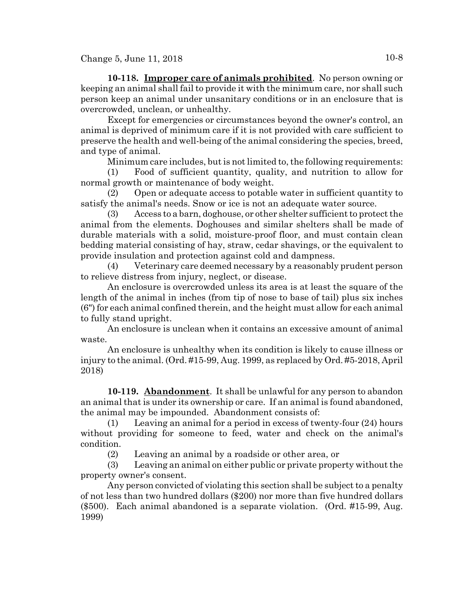**10-118. Improper care of animals prohibited**. No person owning or keeping an animal shall fail to provide it with the minimum care, nor shall such person keep an animal under unsanitary conditions or in an enclosure that is overcrowded, unclean, or unhealthy.

Except for emergencies or circumstances beyond the owner's control, an animal is deprived of minimum care if it is not provided with care sufficient to preserve the health and well-being of the animal considering the species, breed, and type of animal.

Minimum care includes, but is not limited to, the following requirements:

(1) Food of sufficient quantity, quality, and nutrition to allow for normal growth or maintenance of body weight.

(2) Open or adequate access to potable water in sufficient quantity to satisfy the animal's needs. Snow or ice is not an adequate water source.

(3) Access to a barn, doghouse, or other shelter sufficient to protect the animal from the elements. Doghouses and similar shelters shall be made of durable materials with a solid, moisture-proof floor, and must contain clean bedding material consisting of hay, straw, cedar shavings, or the equivalent to provide insulation and protection against cold and dampness.

(4) Veterinary care deemed necessary by a reasonably prudent person to relieve distress from injury, neglect, or disease.

An enclosure is overcrowded unless its area is at least the square of the length of the animal in inches (from tip of nose to base of tail) plus six inches (6") for each animal confined therein, and the height must allow for each animal to fully stand upright.

An enclosure is unclean when it contains an excessive amount of animal waste.

An enclosure is unhealthy when its condition is likely to cause illness or injury to the animal. (Ord. #15-99, Aug. 1999, as replaced by Ord. #5-2018, April 2018)

**10-119. Abandonment**. It shall be unlawful for any person to abandon an animal that is under its ownership or care. If an animal is found abandoned, the animal may be impounded. Abandonment consists of:

(1) Leaving an animal for a period in excess of twenty-four (24) hours without providing for someone to feed, water and check on the animal's condition.

(2) Leaving an animal by a roadside or other area, or

(3) Leaving an animal on either public or private property without the property owner's consent.

Any person convicted of violating this section shall be subject to a penalty of not less than two hundred dollars (\$200) nor more than five hundred dollars (\$500). Each animal abandoned is a separate violation. (Ord. #15-99, Aug. 1999)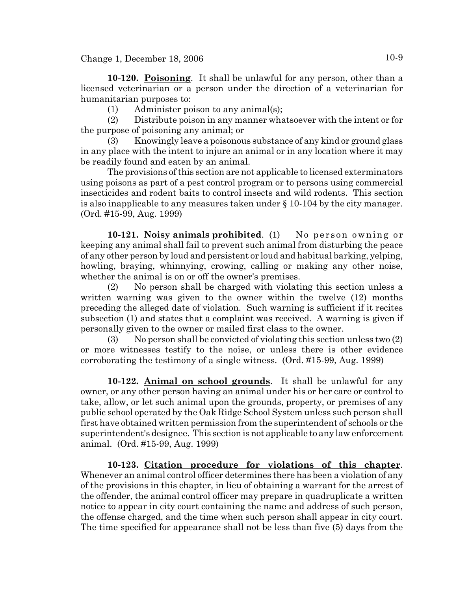**10-120. Poisoning**. It shall be unlawful for any person, other than a licensed veterinarian or a person under the direction of a veterinarian for humanitarian purposes to:

(1) Administer poison to any animal(s);

(2) Distribute poison in any manner whatsoever with the intent or for the purpose of poisoning any animal; or

(3) Knowingly leave a poisonous substance of any kind or ground glass in any place with the intent to injure an animal or in any location where it may be readily found and eaten by an animal.

The provisions of this section are not applicable to licensed exterminators using poisons as part of a pest control program or to persons using commercial insecticides and rodent baits to control insects and wild rodents. This section is also inapplicable to any measures taken under § 10-104 by the city manager. (Ord. #15-99, Aug. 1999)

**10-121. Noisy animals prohibited.** (1) No person owning or keeping any animal shall fail to prevent such animal from disturbing the peace of any other person by loud and persistent or loud and habitual barking, yelping, howling, braying, whinnying, crowing, calling or making any other noise, whether the animal is on or off the owner's premises.

(2) No person shall be charged with violating this section unless a written warning was given to the owner within the twelve (12) months preceding the alleged date of violation. Such warning is sufficient if it recites subsection (1) and states that a complaint was received. A warning is given if personally given to the owner or mailed first class to the owner.

(3) No person shall be convicted of violating this section unless two (2) or more witnesses testify to the noise, or unless there is other evidence corroborating the testimony of a single witness. (Ord. #15-99, Aug. 1999)

**10-122. Animal on school grounds**. It shall be unlawful for any owner, or any other person having an animal under his or her care or control to take, allow, or let such animal upon the grounds, property, or premises of any public school operated by the Oak Ridge School System unless such person shall first have obtained written permission from the superintendent of schools or the superintendent's designee. This section is not applicable to any law enforcement animal. (Ord. #15-99, Aug. 1999)

**10-123. Citation procedure for violations of this chapter**. Whenever an animal control officer determines there has been a violation of any of the provisions in this chapter, in lieu of obtaining a warrant for the arrest of the offender, the animal control officer may prepare in quadruplicate a written notice to appear in city court containing the name and address of such person, the offense charged, and the time when such person shall appear in city court. The time specified for appearance shall not be less than five (5) days from the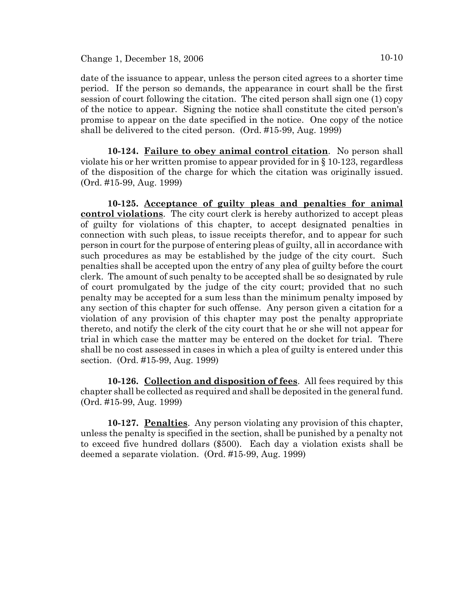date of the issuance to appear, unless the person cited agrees to a shorter time period. If the person so demands, the appearance in court shall be the first session of court following the citation. The cited person shall sign one (1) copy of the notice to appear. Signing the notice shall constitute the cited person's promise to appear on the date specified in the notice. One copy of the notice shall be delivered to the cited person. (Ord. #15-99, Aug. 1999)

**10-124. Failure to obey animal control citation**. No person shall violate his or her written promise to appear provided for in § 10-123, regardless of the disposition of the charge for which the citation was originally issued. (Ord. #15-99, Aug. 1999)

**10-125. Acceptance of guilty pleas and penalties for animal control violations**. The city court clerk is hereby authorized to accept pleas of guilty for violations of this chapter, to accept designated penalties in connection with such pleas, to issue receipts therefor, and to appear for such person in court for the purpose of entering pleas of guilty, all in accordance with such procedures as may be established by the judge of the city court. Such penalties shall be accepted upon the entry of any plea of guilty before the court clerk. The amount of such penalty to be accepted shall be so designated by rule of court promulgated by the judge of the city court; provided that no such penalty may be accepted for a sum less than the minimum penalty imposed by any section of this chapter for such offense. Any person given a citation for a violation of any provision of this chapter may post the penalty appropriate thereto, and notify the clerk of the city court that he or she will not appear for trial in which case the matter may be entered on the docket for trial. There shall be no cost assessed in cases in which a plea of guilty is entered under this section. (Ord. #15-99, Aug. 1999)

**10-126. Collection and disposition of fees**. All fees required by this chapter shall be collected as required and shall be deposited in the general fund. (Ord. #15-99, Aug. 1999)

**10-127. Penalties**. Any person violating any provision of this chapter, unless the penalty is specified in the section, shall be punished by a penalty not to exceed five hundred dollars (\$500). Each day a violation exists shall be deemed a separate violation. (Ord. #15-99, Aug. 1999)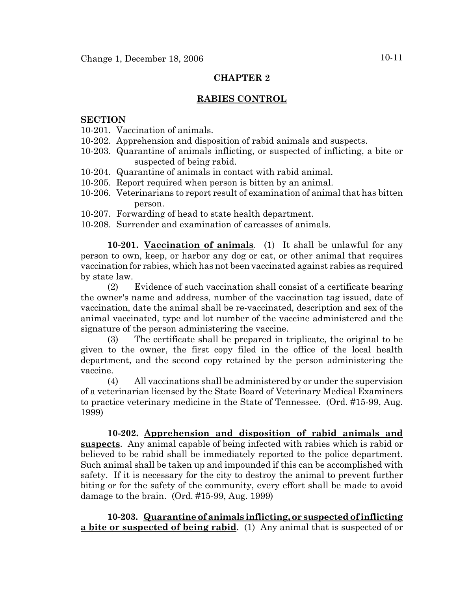# **CHAPTER 2**

# **RABIES CONTROL**

#### **SECTION**

- 10-201. Vaccination of animals.
- 10-202. Apprehension and disposition of rabid animals and suspects.
- 10-203. Quarantine of animals inflicting, or suspected of inflicting, a bite or suspected of being rabid.
- 10-204. Quarantine of animals in contact with rabid animal.
- 10-205. Report required when person is bitten by an animal.
- 10-206. Veterinarians to report result of examination of animal that has bitten person.
- 10-207. Forwarding of head to state health department.
- 10-208. Surrender and examination of carcasses of animals.

**10-201. Vaccination of animals**. (1) It shall be unlawful for any person to own, keep, or harbor any dog or cat, or other animal that requires vaccination for rabies, which has not been vaccinated against rabies as required by state law.

(2) Evidence of such vaccination shall consist of a certificate bearing the owner's name and address, number of the vaccination tag issued, date of vaccination, date the animal shall be re-vaccinated, description and sex of the animal vaccinated, type and lot number of the vaccine administered and the signature of the person administering the vaccine.

(3) The certificate shall be prepared in triplicate, the original to be given to the owner, the first copy filed in the office of the local health department, and the second copy retained by the person administering the vaccine.

(4) All vaccinations shall be administered by or under the supervision of a veterinarian licensed by the State Board of Veterinary Medical Examiners to practice veterinary medicine in the State of Tennessee. (Ord. #15-99, Aug. 1999)

**10-202. Apprehension and disposition of rabid animals and suspects**. Any animal capable of being infected with rabies which is rabid or believed to be rabid shall be immediately reported to the police department. Such animal shall be taken up and impounded if this can be accomplished with safety. If it is necessary for the city to destroy the animal to prevent further biting or for the safety of the community, every effort shall be made to avoid damage to the brain. (Ord. #15-99, Aug. 1999)

**10-203. Quarantine of animals inflicting, or suspected of inflicting a bite or suspected of being rabid**. (1) Any animal that is suspected of or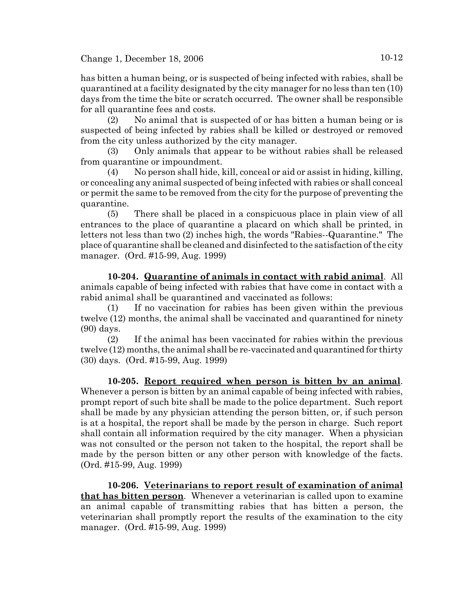has bitten a human being, or is suspected of being infected with rabies, shall be quarantined at a facility designated by the city manager for no less than ten (10) days from the time the bite or scratch occurred. The owner shall be responsible for all quarantine fees and costs.

(2) No animal that is suspected of or has bitten a human being or is suspected of being infected by rabies shall be killed or destroyed or removed from the city unless authorized by the city manager.

(3) Only animals that appear to be without rabies shall be released from quarantine or impoundment.

(4) No person shall hide, kill, conceal or aid or assist in hiding, killing, or concealing any animal suspected of being infected with rabies or shall conceal or permit the same to be removed from the city for the purpose of preventing the quarantine.

(5) There shall be placed in a conspicuous place in plain view of all entrances to the place of quarantine a placard on which shall be printed, in letters not less than two (2) inches high, the words "Rabies--Quarantine." The place of quarantine shall be cleaned and disinfected to the satisfaction of the city manager. (Ord. #15-99, Aug. 1999)

**10-204. Quarantine of animals in contact with rabid animal**. All animals capable of being infected with rabies that have come in contact with a rabid animal shall be quarantined and vaccinated as follows:

(1) If no vaccination for rabies has been given within the previous twelve (12) months, the animal shall be vaccinated and quarantined for ninety (90) days.

(2) If the animal has been vaccinated for rabies within the previous twelve (12) months, the animal shall be re-vaccinated and quarantined for thirty (30) days. (Ord. #15-99, Aug. 1999)

**10-205. Report required when person is bitten by an animal**. Whenever a person is bitten by an animal capable of being infected with rabies, prompt report of such bite shall be made to the police department. Such report shall be made by any physician attending the person bitten, or, if such person is at a hospital, the report shall be made by the person in charge. Such report shall contain all information required by the city manager. When a physician was not consulted or the person not taken to the hospital, the report shall be made by the person bitten or any other person with knowledge of the facts. (Ord. #15-99, Aug. 1999)

**10-206. Veterinarians to report result of examination of animal that has bitten person**. Whenever a veterinarian is called upon to examine an animal capable of transmitting rabies that has bitten a person, the veterinarian shall promptly report the results of the examination to the city manager. (Ord. #15-99, Aug. 1999)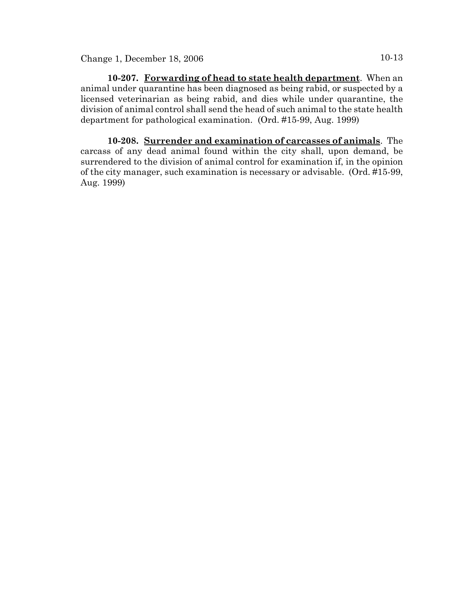**10-207. Forwarding of head to state health department**. When an animal under quarantine has been diagnosed as being rabid, or suspected by a licensed veterinarian as being rabid, and dies while under quarantine, the division of animal control shall send the head of such animal to the state health department for pathological examination. (Ord. #15-99, Aug. 1999)

**10-208. Surrender and examination of carcasses of animals**. The carcass of any dead animal found within the city shall, upon demand, be surrendered to the division of animal control for examination if, in the opinion of the city manager, such examination is necessary or advisable. (Ord. #15-99, Aug. 1999)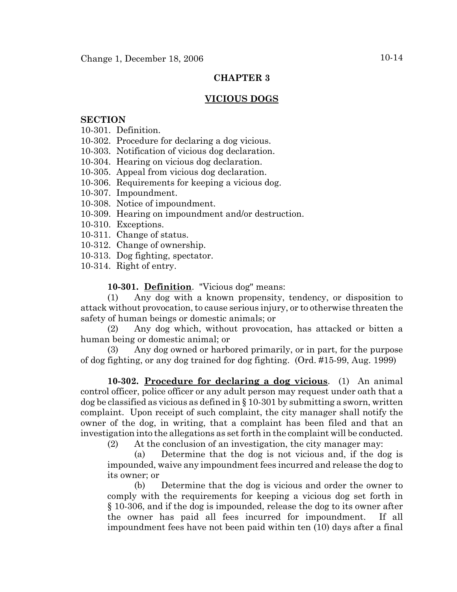# **CHAPTER 3**

### **VICIOUS DOGS**

#### **SECTION**

- 10-301. Definition.
- 10-302. Procedure for declaring a dog vicious.
- 10-303. Notification of vicious dog declaration.
- 10-304. Hearing on vicious dog declaration.
- 10-305. Appeal from vicious dog declaration.
- 10-306. Requirements for keeping a vicious dog.
- 10-307. Impoundment.
- 10-308. Notice of impoundment.
- 10-309. Hearing on impoundment and/or destruction.
- 10-310. Exceptions.
- 10-311. Change of status.
- 10-312. Change of ownership.
- 10-313. Dog fighting, spectator.
- 10-314. Right of entry.

#### **10-301. Definition**. "Vicious dog" means:

(1) Any dog with a known propensity, tendency, or disposition to attack without provocation, to cause serious injury, or to otherwise threaten the safety of human beings or domestic animals; or

(2) Any dog which, without provocation, has attacked or bitten a human being or domestic animal; or

(3) Any dog owned or harbored primarily, or in part, for the purpose of dog fighting, or any dog trained for dog fighting. (Ord. #15-99, Aug. 1999)

**10-302. Procedure for declaring a dog vicious**. (1) An animal control officer, police officer or any adult person may request under oath that a dog be classified as vicious as defined in § 10-301 by submitting a sworn, written complaint. Upon receipt of such complaint, the city manager shall notify the owner of the dog, in writing, that a complaint has been filed and that an investigation into the allegations as set forth in the complaint will be conducted.

(2) At the conclusion of an investigation, the city manager may:

(a) Determine that the dog is not vicious and, if the dog is impounded, waive any impoundment fees incurred and release the dog to its owner; or

(b) Determine that the dog is vicious and order the owner to comply with the requirements for keeping a vicious dog set forth in § 10-306, and if the dog is impounded, release the dog to its owner after the owner has paid all fees incurred for impoundment. If all impoundment fees have not been paid within ten (10) days after a final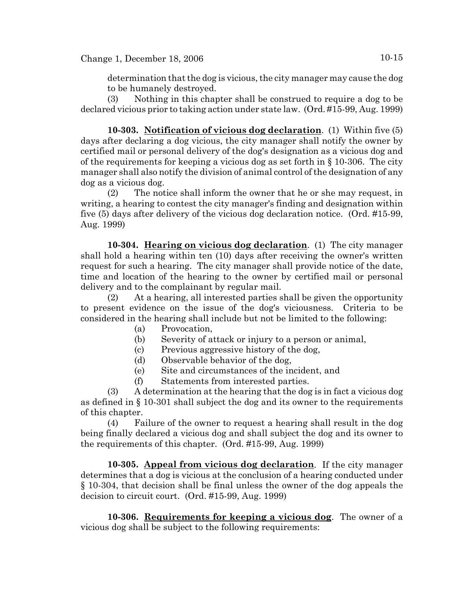determination that the dog is vicious, the city manager may cause the dog to be humanely destroyed.

(3) Nothing in this chapter shall be construed to require a dog to be declared vicious prior to taking action under state law. (Ord. #15-99, Aug. 1999)

**10-303. Notification of vicious dog declaration**. (1) Within five (5) days after declaring a dog vicious, the city manager shall notify the owner by certified mail or personal delivery of the dog's designation as a vicious dog and of the requirements for keeping a vicious dog as set forth in § 10-306. The city manager shall also notify the division of animal control of the designation of any dog as a vicious dog.

(2) The notice shall inform the owner that he or she may request, in writing, a hearing to contest the city manager's finding and designation within five (5) days after delivery of the vicious dog declaration notice. (Ord. #15-99, Aug. 1999)

**10-304. Hearing on vicious dog declaration**. (1) The city manager shall hold a hearing within ten (10) days after receiving the owner's written request for such a hearing. The city manager shall provide notice of the date, time and location of the hearing to the owner by certified mail or personal delivery and to the complainant by regular mail.

(2) At a hearing, all interested parties shall be given the opportunity to present evidence on the issue of the dog's viciousness. Criteria to be considered in the hearing shall include but not be limited to the following:

- (a) Provocation,
- (b) Severity of attack or injury to a person or animal,
- (c) Previous aggressive history of the dog,
- (d) Observable behavior of the dog,
- (e) Site and circumstances of the incident, and
- (f) Statements from interested parties.

(3) A determination at the hearing that the dog is in fact a vicious dog as defined in § 10-301 shall subject the dog and its owner to the requirements of this chapter.

(4) Failure of the owner to request a hearing shall result in the dog being finally declared a vicious dog and shall subject the dog and its owner to the requirements of this chapter. (Ord. #15-99, Aug. 1999)

**10-305. Appeal from vicious dog declaration**. If the city manager determines that a dog is vicious at the conclusion of a hearing conducted under § 10-304, that decision shall be final unless the owner of the dog appeals the decision to circuit court. (Ord. #15-99, Aug. 1999)

**10-306. Requirements for keeping a vicious dog**. The owner of a vicious dog shall be subject to the following requirements: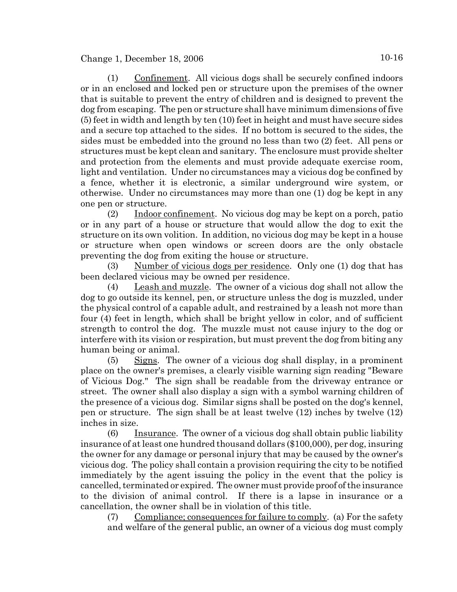(1) Confinement. All vicious dogs shall be securely confined indoors or in an enclosed and locked pen or structure upon the premises of the owner that is suitable to prevent the entry of children and is designed to prevent the dog from escaping. The pen or structure shall have minimum dimensions of five (5) feet in width and length by ten (10) feet in height and must have secure sides and a secure top attached to the sides. If no bottom is secured to the sides, the sides must be embedded into the ground no less than two (2) feet. All pens or structures must be kept clean and sanitary. The enclosure must provide shelter and protection from the elements and must provide adequate exercise room, light and ventilation. Under no circumstances may a vicious dog be confined by a fence, whether it is electronic, a similar underground wire system, or otherwise. Under no circumstances may more than one (1) dog be kept in any one pen or structure.

(2) Indoor confinement. No vicious dog may be kept on a porch, patio or in any part of a house or structure that would allow the dog to exit the structure on its own volition. In addition, no vicious dog may be kept in a house or structure when open windows or screen doors are the only obstacle preventing the dog from exiting the house or structure.

(3) Number of vicious dogs per residence. Only one (1) dog that has been declared vicious may be owned per residence.

(4) Leash and muzzle. The owner of a vicious dog shall not allow the dog to go outside its kennel, pen, or structure unless the dog is muzzled, under the physical control of a capable adult, and restrained by a leash not more than four (4) feet in length, which shall be bright yellow in color, and of sufficient strength to control the dog. The muzzle must not cause injury to the dog or interfere with its vision or respiration, but must prevent the dog from biting any human being or animal.

(5) Signs. The owner of a vicious dog shall display, in a prominent place on the owner's premises, a clearly visible warning sign reading "Beware of Vicious Dog." The sign shall be readable from the driveway entrance or street. The owner shall also display a sign with a symbol warning children of the presence of a vicious dog. Similar signs shall be posted on the dog's kennel, pen or structure. The sign shall be at least twelve (12) inches by twelve (12) inches in size.

(6) Insurance. The owner of a vicious dog shall obtain public liability insurance of at least one hundred thousand dollars (\$100,000), per dog, insuring the owner for any damage or personal injury that may be caused by the owner's vicious dog. The policy shall contain a provision requiring the city to be notified immediately by the agent issuing the policy in the event that the policy is cancelled, terminated or expired. The owner must provide proof of the insurance to the division of animal control. If there is a lapse in insurance or a cancellation, the owner shall be in violation of this title.

(7) Compliance; consequences for failure to comply. (a) For the safety and welfare of the general public, an owner of a vicious dog must comply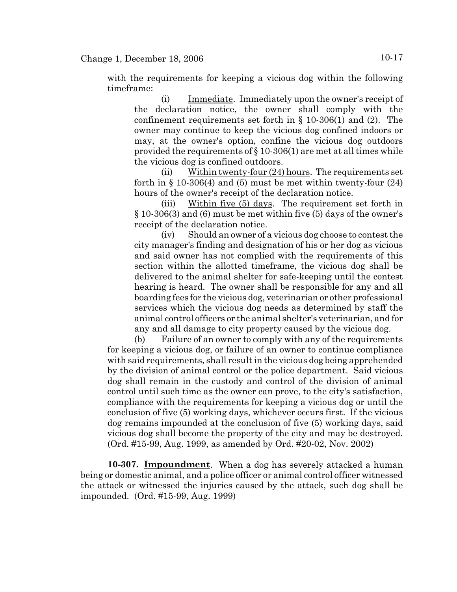with the requirements for keeping a vicious dog within the following timeframe:

(i) Immediate. Immediately upon the owner's receipt of the declaration notice, the owner shall comply with the confinement requirements set forth in § 10-306(1) and (2). The owner may continue to keep the vicious dog confined indoors or may, at the owner's option, confine the vicious dog outdoors provided the requirements of  $\S 10-306(1)$  are met at all times while the vicious dog is confined outdoors.

(ii) Within twenty-four  $(24)$  hours. The requirements set forth in  $\S$  10-306(4) and (5) must be met within twenty-four (24) hours of the owner's receipt of the declaration notice.

(iii) Within five  $(5)$  days. The requirement set forth in § 10-306(3) and (6) must be met within five (5) days of the owner's receipt of the declaration notice.

(iv) Should an owner of a vicious dog choose to contest the city manager's finding and designation of his or her dog as vicious and said owner has not complied with the requirements of this section within the allotted timeframe, the vicious dog shall be delivered to the animal shelter for safe-keeping until the contest hearing is heard. The owner shall be responsible for any and all boarding fees for the vicious dog, veterinarian or other professional services which the vicious dog needs as determined by staff the animal control officers or the animal shelter's veterinarian, and for any and all damage to city property caused by the vicious dog.

(b) Failure of an owner to comply with any of the requirements for keeping a vicious dog, or failure of an owner to continue compliance with said requirements, shall result in the vicious dog being apprehended by the division of animal control or the police department. Said vicious dog shall remain in the custody and control of the division of animal control until such time as the owner can prove, to the city's satisfaction, compliance with the requirements for keeping a vicious dog or until the conclusion of five (5) working days, whichever occurs first. If the vicious dog remains impounded at the conclusion of five (5) working days, said vicious dog shall become the property of the city and may be destroyed. (Ord. #15-99, Aug. 1999, as amended by Ord. #20-02, Nov. 2002)

**10-307. Impoundment**. When a dog has severely attacked a human being or domestic animal, and a police officer or animal control officer witnessed the attack or witnessed the injuries caused by the attack, such dog shall be impounded. (Ord. #15-99, Aug. 1999)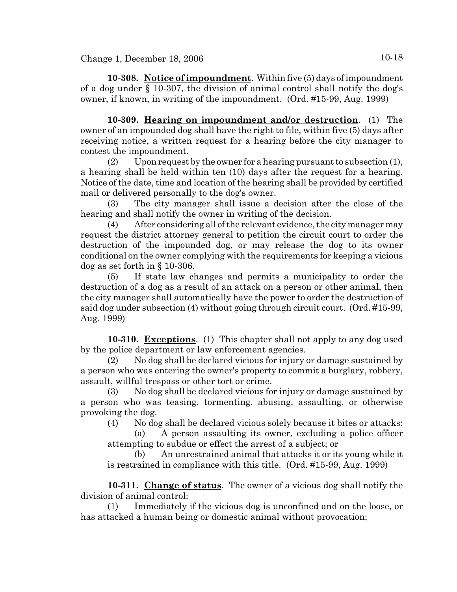**10-308. Notice of impoundment**. Within five (5) days of impoundment of a dog under § 10-307, the division of animal control shall notify the dog's owner, if known, in writing of the impoundment. (Ord. #15-99, Aug. 1999)

**10-309. Hearing on impoundment and/or destruction**. (1) The owner of an impounded dog shall have the right to file, within five (5) days after receiving notice, a written request for a hearing before the city manager to contest the impoundment.

(2) Upon request by the owner for a hearing pursuant to subsection  $(1)$ , a hearing shall be held within ten (10) days after the request for a hearing. Notice of the date, time and location of the hearing shall be provided by certified mail or delivered personally to the dog's owner.

(3) The city manager shall issue a decision after the close of the hearing and shall notify the owner in writing of the decision.

(4) After considering all of the relevant evidence, the city manager may request the district attorney general to petition the circuit court to order the destruction of the impounded dog, or may release the dog to its owner conditional on the owner complying with the requirements for keeping a vicious dog as set forth in § 10-306.

(5) If state law changes and permits a municipality to order the destruction of a dog as a result of an attack on a person or other animal, then the city manager shall automatically have the power to order the destruction of said dog under subsection (4) without going through circuit court. (Ord. #15-99, Aug. 1999)

**10-310. Exceptions**. (1) This chapter shall not apply to any dog used by the police department or law enforcement agencies.

(2) No dog shall be declared vicious for injury or damage sustained by a person who was entering the owner's property to commit a burglary, robbery, assault, willful trespass or other tort or crime.

(3) No dog shall be declared vicious for injury or damage sustained by a person who was teasing, tormenting, abusing, assaulting, or otherwise provoking the dog.

(4) No dog shall be declared vicious solely because it bites or attacks:

(a) A person assaulting its owner, excluding a police officer attempting to subdue or effect the arrest of a subject; or

(b) An unrestrained animal that attacks it or its young while it is restrained in compliance with this title. (Ord. #15-99, Aug. 1999)

**10-311. Change of status**. The owner of a vicious dog shall notify the division of animal control:

(1) Immediately if the vicious dog is unconfined and on the loose, or has attacked a human being or domestic animal without provocation;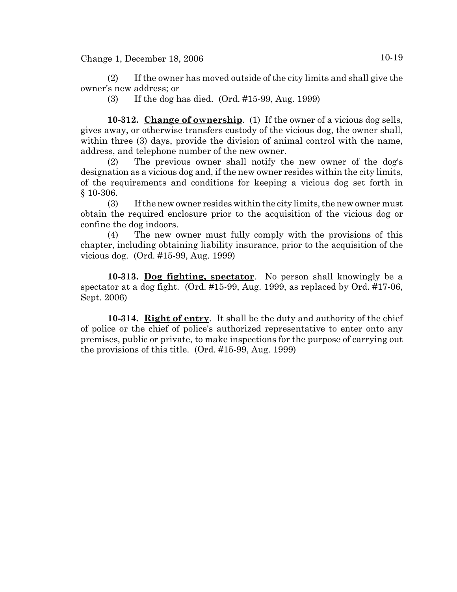(2) If the owner has moved outside of the city limits and shall give the owner's new address; or

(3) If the dog has died. (Ord. #15-99, Aug. 1999)

**10-312. Change of ownership**. (1) If the owner of a vicious dog sells, gives away, or otherwise transfers custody of the vicious dog, the owner shall, within three (3) days, provide the division of animal control with the name, address, and telephone number of the new owner.

(2) The previous owner shall notify the new owner of the dog's designation as a vicious dog and, if the new owner resides within the city limits, of the requirements and conditions for keeping a vicious dog set forth in § 10-306.

(3) If the new owner resides within the city limits, the new owner must obtain the required enclosure prior to the acquisition of the vicious dog or confine the dog indoors.

(4) The new owner must fully comply with the provisions of this chapter, including obtaining liability insurance, prior to the acquisition of the vicious dog. (Ord. #15-99, Aug. 1999)

**10-313. Dog fighting, spectator**. No person shall knowingly be a spectator at a dog fight. (Ord. #15-99, Aug. 1999, as replaced by Ord. #17-06, Sept. 2006)

**10-314. Right of entry**. It shall be the duty and authority of the chief of police or the chief of police's authorized representative to enter onto any premises, public or private, to make inspections for the purpose of carrying out the provisions of this title. (Ord. #15-99, Aug. 1999)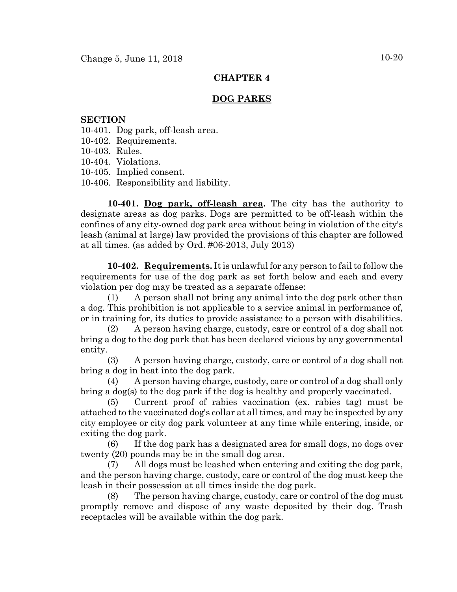# **CHAPTER 4**

# **DOG PARKS**

#### **SECTION**

- 10-401. Dog park, off-leash area.
- 10-402. Requirements.
- 10-403. Rules.
- 10-404. Violations.
- 10-405. Implied consent.
- 10-406. Responsibility and liability.

**10-401. Dog park, off-leash area.** The city has the authority to designate areas as dog parks. Dogs are permitted to be off-leash within the confines of any city-owned dog park area without being in violation of the city's leash (animal at large) law provided the provisions of this chapter are followed at all times. (as added by Ord. #06-2013, July 2013)

**10-402. Requirements.** It is unlawful for any person to fail to follow the requirements for use of the dog park as set forth below and each and every violation per dog may be treated as a separate offense:

(1) A person shall not bring any animal into the dog park other than a dog. This prohibition is not applicable to a service animal in performance of, or in training for, its duties to provide assistance to a person with disabilities.

(2) A person having charge, custody, care or control of a dog shall not bring a dog to the dog park that has been declared vicious by any governmental entity.

(3) A person having charge, custody, care or control of a dog shall not bring a dog in heat into the dog park.

(4) A person having charge, custody, care or control of a dog shall only bring a dog(s) to the dog park if the dog is healthy and properly vaccinated.

(5) Current proof of rabies vaccination (ex. rabies tag) must be attached to the vaccinated dog's collar at all times, and may be inspected by any city employee or city dog park volunteer at any time while entering, inside, or exiting the dog park.

(6) If the dog park has a designated area for small dogs, no dogs over twenty (20) pounds may be in the small dog area.

(7) All dogs must be leashed when entering and exiting the dog park, and the person having charge, custody, care or control of the dog must keep the leash in their possession at all times inside the dog park.

(8) The person having charge, custody, care or control of the dog must promptly remove and dispose of any waste deposited by their dog. Trash receptacles will be available within the dog park.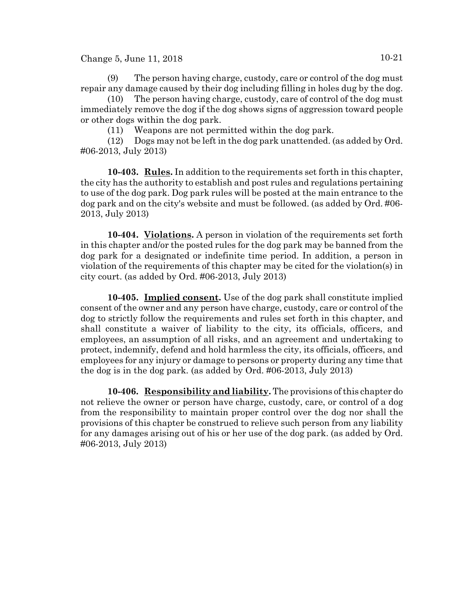Change 5, June 11, 2018  $10-21$ 

(9) The person having charge, custody, care or control of the dog must repair any damage caused by their dog including filling in holes dug by the dog.

(10) The person having charge, custody, care of control of the dog must immediately remove the dog if the dog shows signs of aggression toward people or other dogs within the dog park.

(11) Weapons are not permitted within the dog park.

(12) Dogs may not be left in the dog park unattended. (as added by Ord. #06-2013, July 2013)

**10-403. Rules.** In addition to the requirements set forth in this chapter, the city has the authority to establish and post rules and regulations pertaining to use of the dog park. Dog park rules will be posted at the main entrance to the dog park and on the city's website and must be followed. (as added by Ord. #06- 2013, July 2013)

**10-404. Violations.** A person in violation of the requirements set forth in this chapter and/or the posted rules for the dog park may be banned from the dog park for a designated or indefinite time period. In addition, a person in violation of the requirements of this chapter may be cited for the violation(s) in city court. (as added by Ord. #06-2013, July 2013)

**10-405. Implied consent.** Use of the dog park shall constitute implied consent of the owner and any person have charge, custody, care or control of the dog to strictly follow the requirements and rules set forth in this chapter, and shall constitute a waiver of liability to the city, its officials, officers, and employees, an assumption of all risks, and an agreement and undertaking to protect, indemnify, defend and hold harmless the city, its officials, officers, and employees for any injury or damage to persons or property during any time that the dog is in the dog park. (as added by Ord. #06-2013, July 2013)

**10-406. Responsibility and liability.** The provisions of this chapter do not relieve the owner or person have charge, custody, care, or control of a dog from the responsibility to maintain proper control over the dog nor shall the provisions of this chapter be construed to relieve such person from any liability for any damages arising out of his or her use of the dog park. (as added by Ord. #06-2013, July 2013)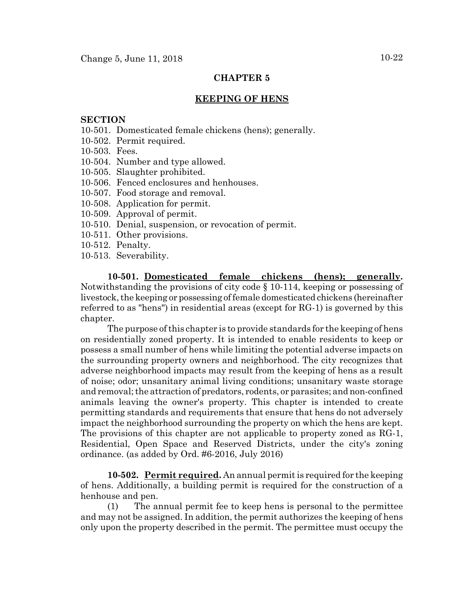# **CHAPTER 5**

#### **KEEPING OF HENS**

#### **SECTION**

- 10-501. Domesticated female chickens (hens); generally.
- 10-502. Permit required.
- 10-503. Fees.
- 10-504. Number and type allowed.
- 10-505. Slaughter prohibited.
- 10-506. Fenced enclosures and henhouses.
- 10-507. Food storage and removal.
- 10-508. Application for permit.
- 10-509. Approval of permit.
- 10-510. Denial, suspension, or revocation of permit.
- 10-511. Other provisions.
- 10-512. Penalty.
- 10-513. Severability.

**10-501. Domesticated female chickens (hens); generally.** Notwithstanding the provisions of city code § 10-114, keeping or possessing of livestock, the keeping or possessing of female domesticated chickens (hereinafter referred to as "hens") in residential areas (except for RG-1) is governed by this chapter.

The purpose of this chapter is to provide standards for the keeping of hens on residentially zoned property. It is intended to enable residents to keep or possess a small number of hens while limiting the potential adverse impacts on the surrounding property owners and neighborhood. The city recognizes that adverse neighborhood impacts may result from the keeping of hens as a result of noise; odor; unsanitary animal living conditions; unsanitary waste storage and removal; the attraction of predators, rodents, or parasites; and non-confined animals leaving the owner's property. This chapter is intended to create permitting standards and requirements that ensure that hens do not adversely impact the neighborhood surrounding the property on which the hens are kept. The provisions of this chapter are not applicable to property zoned as RG-1, Residential, Open Space and Reserved Districts, under the city's zoning ordinance. (as added by Ord. #6-2016, July 2016)

**10-502. Permit required.** An annual permit is required for the keeping of hens. Additionally, a building permit is required for the construction of a henhouse and pen.

(1) The annual permit fee to keep hens is personal to the permittee and may not be assigned. In addition, the permit authorizes the keeping of hens only upon the property described in the permit. The permittee must occupy the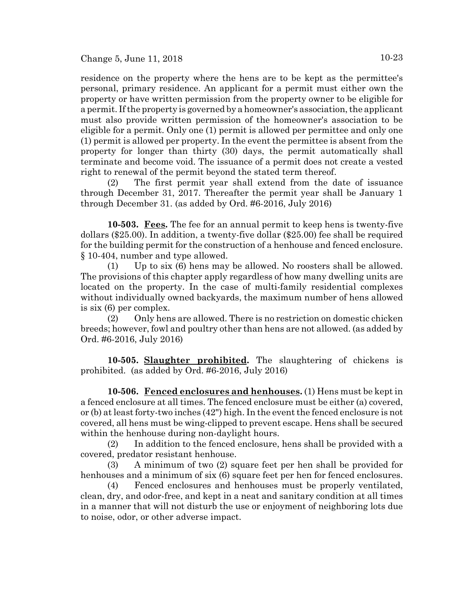residence on the property where the hens are to be kept as the permittee's personal, primary residence. An applicant for a permit must either own the property or have written permission from the property owner to be eligible for a permit. If the property is governed by a homeowner's association, the applicant must also provide written permission of the homeowner's association to be eligible for a permit. Only one (1) permit is allowed per permittee and only one (1) permit is allowed per property. In the event the permittee is absent from the property for longer than thirty (30) days, the permit automatically shall terminate and become void. The issuance of a permit does not create a vested right to renewal of the permit beyond the stated term thereof.

(2) The first permit year shall extend from the date of issuance through December 31, 2017. Thereafter the permit year shall be January 1 through December 31. (as added by Ord. #6-2016, July 2016)

**10-503. Fees.** The fee for an annual permit to keep hens is twenty-five dollars (\$25.00). In addition, a twenty-five dollar (\$25.00) fee shall be required for the building permit for the construction of a henhouse and fenced enclosure. § 10-404, number and type allowed.

(1) Up to six (6) hens may be allowed. No roosters shall be allowed. The provisions of this chapter apply regardless of how many dwelling units are located on the property. In the case of multi-family residential complexes without individually owned backyards, the maximum number of hens allowed is six (6) per complex.

(2) Only hens are allowed. There is no restriction on domestic chicken breeds; however, fowl and poultry other than hens are not allowed. (as added by Ord. #6-2016, July 2016)

**10-505. Slaughter prohibited.** The slaughtering of chickens is prohibited. (as added by Ord. #6-2016, July 2016)

**10-506. Fenced enclosures and henhouses.** (1) Hens must be kept in a fenced enclosure at all times. The fenced enclosure must be either (a) covered, or (b) at least forty-two inches (42") high. In the event the fenced enclosure is not covered, all hens must be wing-clipped to prevent escape. Hens shall be secured within the henhouse during non-daylight hours.

(2) In addition to the fenced enclosure, hens shall be provided with a covered, predator resistant henhouse.

(3) A minimum of two (2) square feet per hen shall be provided for henhouses and a minimum of six (6) square feet per hen for fenced enclosures.

(4) Fenced enclosures and henhouses must be properly ventilated, clean, dry, and odor-free, and kept in a neat and sanitary condition at all times in a manner that will not disturb the use or enjoyment of neighboring lots due to noise, odor, or other adverse impact.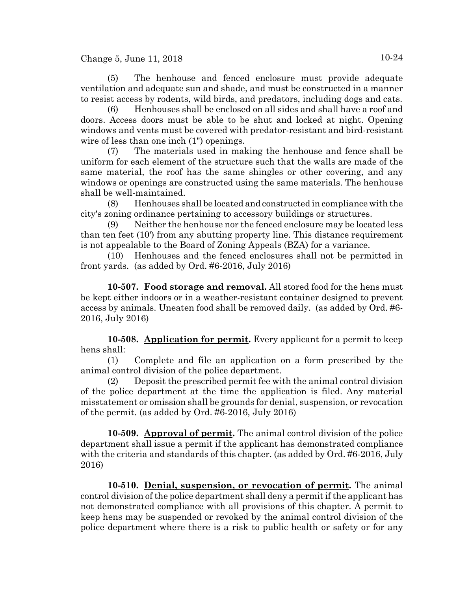(5) The henhouse and fenced enclosure must provide adequate ventilation and adequate sun and shade, and must be constructed in a manner to resist access by rodents, wild birds, and predators, including dogs and cats.

(6) Henhouses shall be enclosed on all sides and shall have a roof and doors. Access doors must be able to be shut and locked at night. Opening windows and vents must be covered with predator-resistant and bird-resistant wire of less than one inch (1") openings.

(7) The materials used in making the henhouse and fence shall be uniform for each element of the structure such that the walls are made of the same material, the roof has the same shingles or other covering, and any windows or openings are constructed using the same materials. The henhouse shall be well-maintained.

(8) Henhouses shall be located and constructed in compliance with the city's zoning ordinance pertaining to accessory buildings or structures.

(9) Neither the henhouse nor the fenced enclosure may be located less than ten feet (10') from any abutting property line. This distance requirement is not appealable to the Board of Zoning Appeals (BZA) for a variance.

(10) Henhouses and the fenced enclosures shall not be permitted in front yards. (as added by Ord. #6-2016, July 2016)

**10-507. Food storage and removal.** All stored food for the hens must be kept either indoors or in a weather-resistant container designed to prevent access by animals. Uneaten food shall be removed daily. (as added by Ord. #6- 2016, July 2016)

**10-508. Application for permit.** Every applicant for a permit to keep hens shall:

(1) Complete and file an application on a form prescribed by the animal control division of the police department.

(2) Deposit the prescribed permit fee with the animal control division of the police department at the time the application is filed. Any material misstatement or omission shall be grounds for denial, suspension, or revocation of the permit. (as added by Ord. #6-2016, July 2016)

**10-509. Approval of permit.** The animal control division of the police department shall issue a permit if the applicant has demonstrated compliance with the criteria and standards of this chapter. (as added by Ord. #6-2016, July 2016)

**10-510. Denial, suspension, or revocation of permit.** The animal control division of the police department shall deny a permit if the applicant has not demonstrated compliance with all provisions of this chapter. A permit to keep hens may be suspended or revoked by the animal control division of the police department where there is a risk to public health or safety or for any